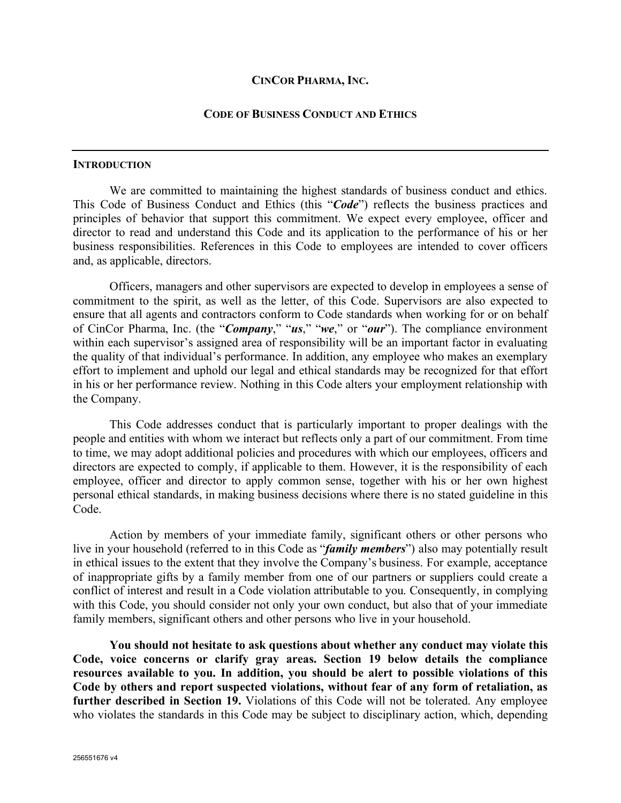### **CINCOR PHARMA, INC.**

### **CODE OF BUSINESS CONDUCT AND ETHICS**

#### **INTRODUCTION**

We are committed to maintaining the highest standards of business conduct and ethics. This Code of Business Conduct and Ethics (this "*Code*") reflects the business practices and principles of behavior that support this commitment. We expect every employee, officer and director to read and understand this Code and its application to the performance of his or her business responsibilities. References in this Code to employees are intended to cover officers and, as applicable, directors.

Officers, managers and other supervisors are expected to develop in employees a sense of commitment to the spirit, as well as the letter, of this Code. Supervisors are also expected to ensure that all agents and contractors conform to Code standards when working for or on behalf of CinCor Pharma, Inc. (the "*Company*," "*us*," "*we*," or "*our*"). The compliance environment within each supervisor's assigned area of responsibility will be an important factor in evaluating the quality of that individual's performance. In addition, any employee who makes an exemplary effort to implement and uphold our legal and ethical standards may be recognized for that effort in his or her performance review. Nothing in this Code alters your employment relationship with the Company.

This Code addresses conduct that is particularly important to proper dealings with the people and entities with whom we interact but reflects only a part of our commitment. From time to time, we may adopt additional policies and procedures with which our employees, officers and directors are expected to comply, if applicable to them. However, it is the responsibility of each employee, officer and director to apply common sense, together with his or her own highest personal ethical standards, in making business decisions where there is no stated guideline in this Code.

Action by members of your immediate family, significant others or other persons who live in your household (referred to in this Code as "*family members*") also may potentially result in ethical issues to the extent that they involve the Company's business. For example, acceptance of inappropriate gifts by a family member from one of our partners or suppliers could create a conflict of interest and result in a Code violation attributable to you. Consequently, in complying with this Code, you should consider not only your own conduct, but also that of your immediate family members, significant others and other persons who live in your household.

**You should not hesitate to ask questions about whether any conduct may violate this Code, voice concerns or clarify gray areas. Section 19 below details the compliance resources available to you. In addition, you should be alert to possible violations of this Code by others and report suspected violations, without fear of any form of retaliation, as further described in Section 19.** Violations of this Code will not be tolerated. Any employee who violates the standards in this Code may be subject to disciplinary action, which, depending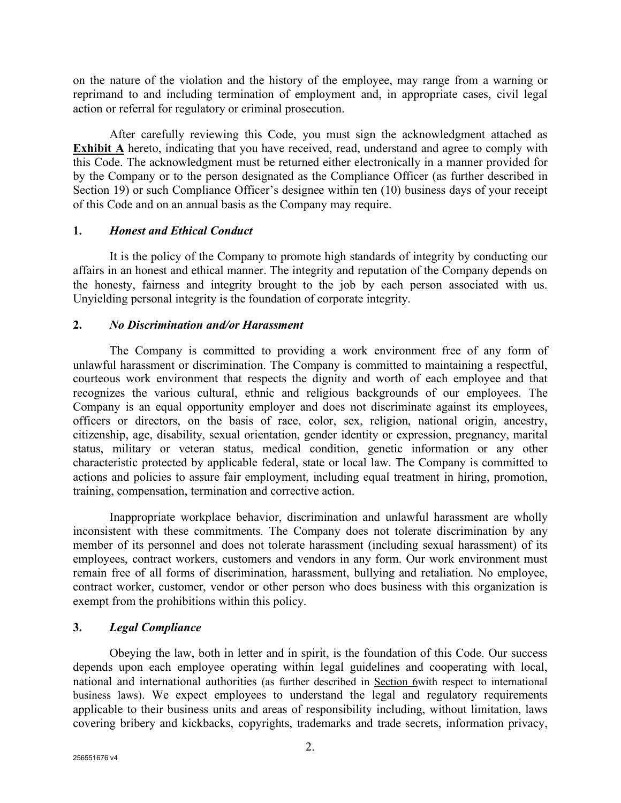on the nature of the violation and the history of the employee, may range from a warning or reprimand to and including termination of employment and, in appropriate cases, civil legal action or referral for regulatory or criminal prosecution.

After carefully reviewing this Code, you must sign the acknowledgment attached as **Exhibit A** hereto, indicating that you have received, read, understand and agree to comply with this Code. The acknowledgment must be returned either electronically in a manner provided for by the Company or to the person designated as the Compliance Officer (as further described in Section 19) or such Compliance Officer's designee within ten (10) business days of your receipt of this Code and on an annual basis as the Company may require.

### **1.** *Honest and Ethical Conduct*

It is the policy of the Company to promote high standards of integrity by conducting our affairs in an honest and ethical manner. The integrity and reputation of the Company depends on the honesty, fairness and integrity brought to the job by each person associated with us. Unyielding personal integrity is the foundation of corporate integrity.

### **2.** *No Discrimination and/or Harassment*

The Company is committed to providing a work environment free of any form of unlawful harassment or discrimination. The Company is committed to maintaining a respectful, courteous work environment that respects the dignity and worth of each employee and that recognizes the various cultural, ethnic and religious backgrounds of our employees. The Company is an equal opportunity employer and does not discriminate against its employees, officers or directors, on the basis of race, color, sex, religion, national origin, ancestry, citizenship, age, disability, sexual orientation, gender identity or expression, pregnancy, marital status, military or veteran status, medical condition, genetic information or any other characteristic protected by applicable federal, state or local law. The Company is committed to actions and policies to assure fair employment, including equal treatment in hiring, promotion, training, compensation, termination and corrective action.

Inappropriate workplace behavior, discrimination and unlawful harassment are wholly inconsistent with these commitments. The Company does not tolerate discrimination by any member of its personnel and does not tolerate harassment (including sexual harassment) of its employees, contract workers, customers and vendors in any form. Our work environment must remain free of all forms of discrimination, harassment, bullying and retaliation. No employee, contract worker, customer, vendor or other person who does business with this organization is exempt from the prohibitions within this policy.

### **3.** *Legal Compliance*

Obeying the law, both in letter and in spirit, is the foundation of this Code. Our success depends upon each employee operating within legal guidelines and cooperating with local, national and international authorities (as further described in Section 6with respect to international business laws). We expect employees to understand the legal and regulatory requirements applicable to their business units and areas of responsibility including, without limitation, laws covering bribery and kickbacks, copyrights, trademarks and trade secrets, information privacy,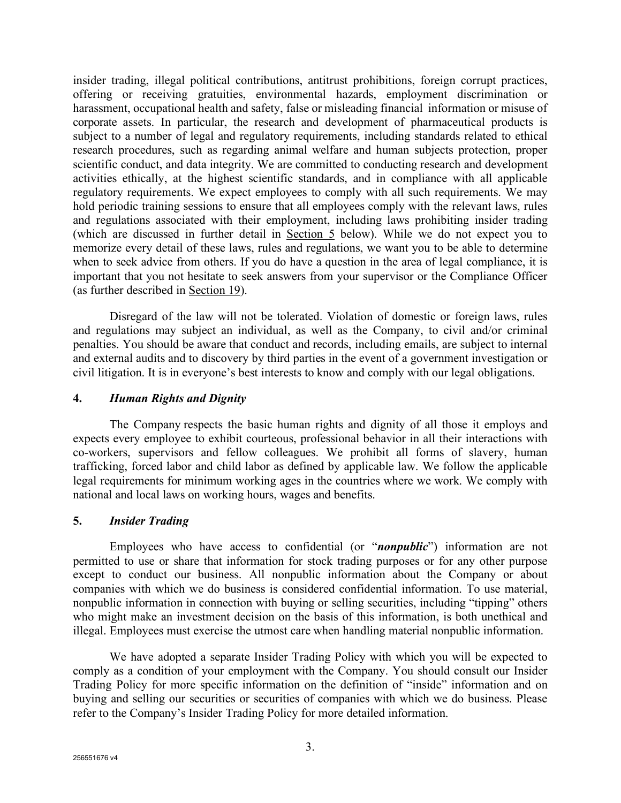insider trading, illegal political contributions, antitrust prohibitions, foreign corrupt practices, offering or receiving gratuities, environmental hazards, employment discrimination or harassment, occupational health and safety, false or misleading financial information or misuse of corporate assets. In particular, the research and development of pharmaceutical products is subject to a number of legal and regulatory requirements, including standards related to ethical research procedures, such as regarding animal welfare and human subjects protection, proper scientific conduct, and data integrity. We are committed to conducting research and development activities ethically, at the highest scientific standards, and in compliance with all applicable regulatory requirements. We expect employees to comply with all such requirements. We may hold periodic training sessions to ensure that all employees comply with the relevant laws, rules and regulations associated with their employment, including laws prohibiting insider trading (which are discussed in further detail in Section 5 below). While we do not expect you to memorize every detail of these laws, rules and regulations, we want you to be able to determine when to seek advice from others. If you do have a question in the area of legal compliance, it is important that you not hesitate to seek answers from your supervisor or the Compliance Officer (as further described in Section 19).

Disregard of the law will not be tolerated. Violation of domestic or foreign laws, rules and regulations may subject an individual, as well as the Company, to civil and/or criminal penalties. You should be aware that conduct and records, including emails, are subject to internal and external audits and to discovery by third parties in the event of a government investigation or civil litigation. It is in everyone's best interests to know and comply with our legal obligations.

### **4.** *Human Rights and Dignity*

The Company respects the basic human rights and dignity of all those it employs and expects every employee to exhibit courteous, professional behavior in all their interactions with co-workers, supervisors and fellow colleagues. We prohibit all forms of slavery, human trafficking, forced labor and child labor as defined by applicable law. We follow the applicable legal requirements for minimum working ages in the countries where we work. We comply with national and local laws on working hours, wages and benefits.

#### **5.** *Insider Trading*

Employees who have access to confidential (or "*nonpublic*") information are not permitted to use or share that information for stock trading purposes or for any other purpose except to conduct our business. All nonpublic information about the Company or about companies with which we do business is considered confidential information. To use material, nonpublic information in connection with buying or selling securities, including "tipping" others who might make an investment decision on the basis of this information, is both unethical and illegal. Employees must exercise the utmost care when handling material nonpublic information.

We have adopted a separate Insider Trading Policy with which you will be expected to comply as a condition of your employment with the Company. You should consult our Insider Trading Policy for more specific information on the definition of "inside" information and on buying and selling our securities or securities of companies with which we do business. Please refer to the Company's Insider Trading Policy for more detailed information.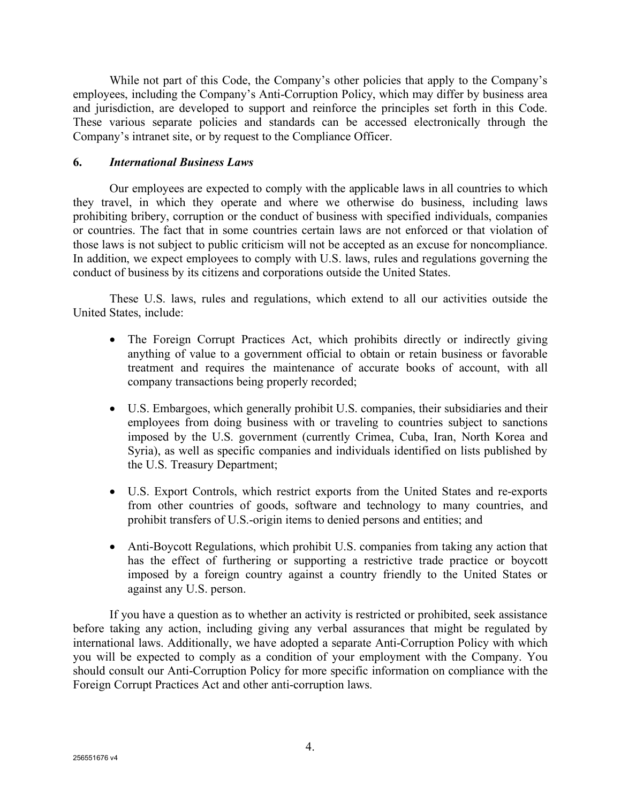While not part of this Code, the Company's other policies that apply to the Company's employees, including the Company's Anti-Corruption Policy, which may differ by business area and jurisdiction, are developed to support and reinforce the principles set forth in this Code. These various separate policies and standards can be accessed electronically through the Company's intranet site, or by request to the Compliance Officer.

## **6.** *International Business Laws*

Our employees are expected to comply with the applicable laws in all countries to which they travel, in which they operate and where we otherwise do business, including laws prohibiting bribery, corruption or the conduct of business with specified individuals, companies or countries. The fact that in some countries certain laws are not enforced or that violation of those laws is not subject to public criticism will not be accepted as an excuse for noncompliance. In addition, we expect employees to comply with U.S. laws, rules and regulations governing the conduct of business by its citizens and corporations outside the United States.

These U.S. laws, rules and regulations, which extend to all our activities outside the United States, include:

- The Foreign Corrupt Practices Act, which prohibits directly or indirectly giving anything of value to a government official to obtain or retain business or favorable treatment and requires the maintenance of accurate books of account, with all company transactions being properly recorded;
- U.S. Embargoes, which generally prohibit U.S. companies, their subsidiaries and their employees from doing business with or traveling to countries subject to sanctions imposed by the U.S. government (currently Crimea, Cuba, Iran, North Korea and Syria), as well as specific companies and individuals identified on lists published by the U.S. Treasury Department;
- U.S. Export Controls, which restrict exports from the United States and re-exports from other countries of goods, software and technology to many countries, and prohibit transfers of U.S.-origin items to denied persons and entities; and
- Anti-Boycott Regulations, which prohibit U.S. companies from taking any action that has the effect of furthering or supporting a restrictive trade practice or boycott imposed by a foreign country against a country friendly to the United States or against any U.S. person.

If you have a question as to whether an activity is restricted or prohibited, seek assistance before taking any action, including giving any verbal assurances that might be regulated by international laws. Additionally, we have adopted a separate Anti-Corruption Policy with which you will be expected to comply as a condition of your employment with the Company. You should consult our Anti-Corruption Policy for more specific information on compliance with the Foreign Corrupt Practices Act and other anti-corruption laws.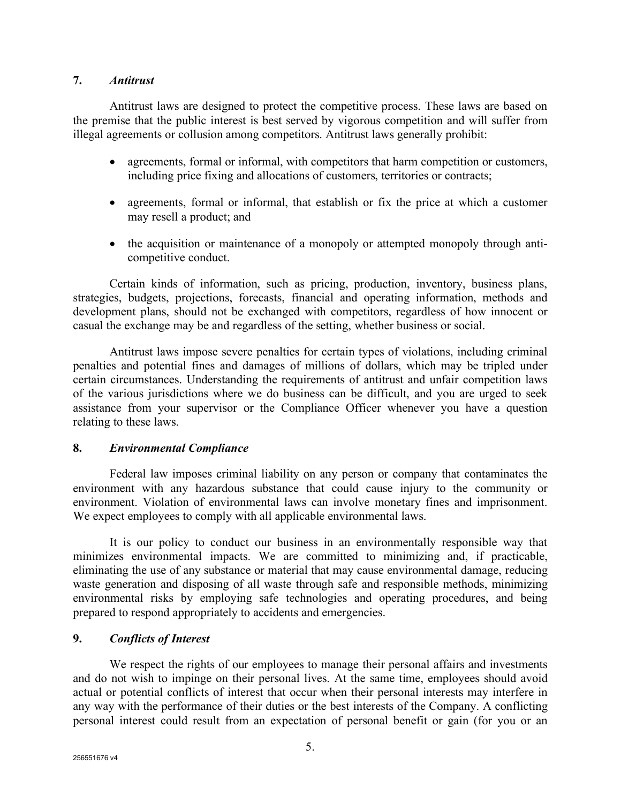### **7.** *Antitrust*

Antitrust laws are designed to protect the competitive process. These laws are based on the premise that the public interest is best served by vigorous competition and will suffer from illegal agreements or collusion among competitors. Antitrust laws generally prohibit:

- agreements, formal or informal, with competitors that harm competition or customers, including price fixing and allocations of customers, territories or contracts;
- agreements, formal or informal, that establish or fix the price at which a customer may resell a product; and
- the acquisition or maintenance of a monopoly or attempted monopoly through anticompetitive conduct.

Certain kinds of information, such as pricing, production, inventory, business plans, strategies, budgets, projections, forecasts, financial and operating information, methods and development plans, should not be exchanged with competitors, regardless of how innocent or casual the exchange may be and regardless of the setting, whether business or social.

Antitrust laws impose severe penalties for certain types of violations, including criminal penalties and potential fines and damages of millions of dollars, which may be tripled under certain circumstances. Understanding the requirements of antitrust and unfair competition laws of the various jurisdictions where we do business can be difficult, and you are urged to seek assistance from your supervisor or the Compliance Officer whenever you have a question relating to these laws.

### **8.** *Environmental Compliance*

Federal law imposes criminal liability on any person or company that contaminates the environment with any hazardous substance that could cause injury to the community or environment. Violation of environmental laws can involve monetary fines and imprisonment. We expect employees to comply with all applicable environmental laws.

It is our policy to conduct our business in an environmentally responsible way that minimizes environmental impacts. We are committed to minimizing and, if practicable, eliminating the use of any substance or material that may cause environmental damage, reducing waste generation and disposing of all waste through safe and responsible methods, minimizing environmental risks by employing safe technologies and operating procedures, and being prepared to respond appropriately to accidents and emergencies.

### **9.** *Conflicts of Interest*

We respect the rights of our employees to manage their personal affairs and investments and do not wish to impinge on their personal lives. At the same time, employees should avoid actual or potential conflicts of interest that occur when their personal interests may interfere in any way with the performance of their duties or the best interests of the Company. A conflicting personal interest could result from an expectation of personal benefit or gain (for you or an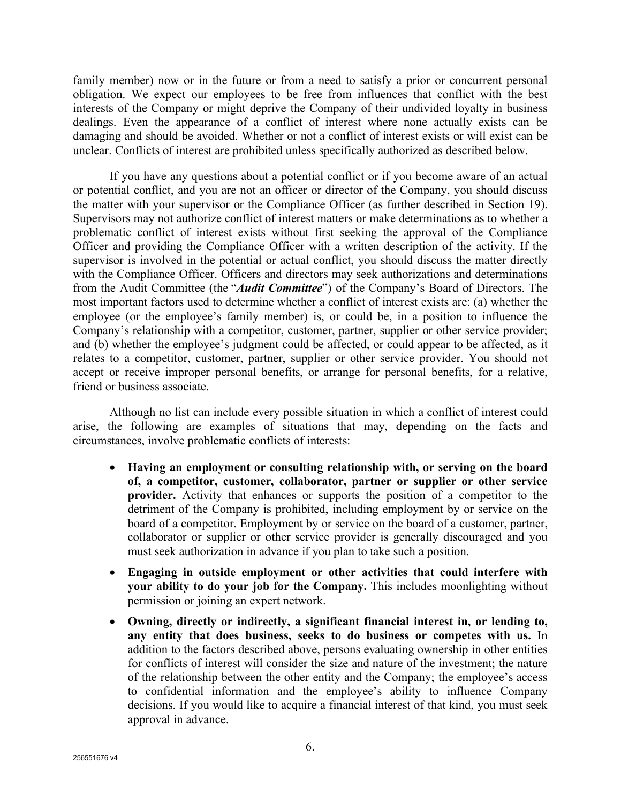family member) now or in the future or from a need to satisfy a prior or concurrent personal obligation. We expect our employees to be free from influences that conflict with the best interests of the Company or might deprive the Company of their undivided loyalty in business dealings. Even the appearance of a conflict of interest where none actually exists can be damaging and should be avoided. Whether or not a conflict of interest exists or will exist can be unclear. Conflicts of interest are prohibited unless specifically authorized as described below.

If you have any questions about a potential conflict or if you become aware of an actual or potential conflict, and you are not an officer or director of the Company, you should discuss the matter with your supervisor or the Compliance Officer (as further described in Section 19). Supervisors may not authorize conflict of interest matters or make determinations as to whether a problematic conflict of interest exists without first seeking the approval of the Compliance Officer and providing the Compliance Officer with a written description of the activity. If the supervisor is involved in the potential or actual conflict, you should discuss the matter directly with the Compliance Officer. Officers and directors may seek authorizations and determinations from the Audit Committee (the "*Audit Committee*") of the Company's Board of Directors. The most important factors used to determine whether a conflict of interest exists are: (a) whether the employee (or the employee's family member) is, or could be, in a position to influence the Company's relationship with a competitor, customer, partner, supplier or other service provider; and (b) whether the employee's judgment could be affected, or could appear to be affected, as it relates to a competitor, customer, partner, supplier or other service provider. You should not accept or receive improper personal benefits, or arrange for personal benefits, for a relative, friend or business associate.

Although no list can include every possible situation in which a conflict of interest could arise, the following are examples of situations that may, depending on the facts and circumstances, involve problematic conflicts of interests:

- **Having an employment or consulting relationship with, or serving on the board of, a competitor, customer, collaborator, partner or supplier or other service provider.** Activity that enhances or supports the position of a competitor to the detriment of the Company is prohibited, including employment by or service on the board of a competitor. Employment by or service on the board of a customer, partner, collaborator or supplier or other service provider is generally discouraged and you must seek authorization in advance if you plan to take such a position.
- **Engaging in outside employment or other activities that could interfere with your ability to do your job for the Company.** This includes moonlighting without permission or joining an expert network.
- **Owning, directly or indirectly, a significant financial interest in, or lending to, any entity that does business, seeks to do business or competes with us.** In addition to the factors described above, persons evaluating ownership in other entities for conflicts of interest will consider the size and nature of the investment; the nature of the relationship between the other entity and the Company; the employee's access to confidential information and the employee's ability to influence Company decisions. If you would like to acquire a financial interest of that kind, you must seek approval in advance.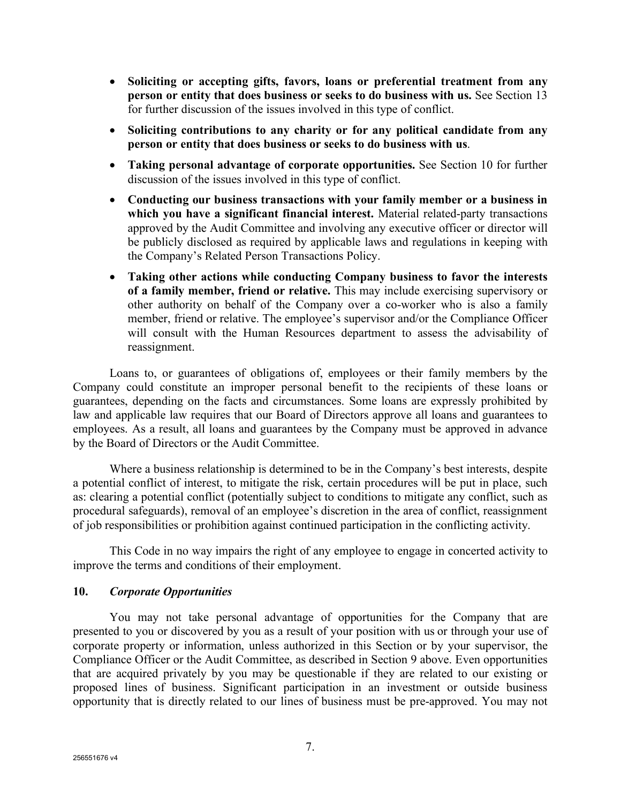- **Soliciting or accepting gifts, favors, loans or preferential treatment from any person or entity that does business or seeks to do business with us.** See Section 13 for further discussion of the issues involved in this type of conflict.
- **Soliciting contributions to any charity or for any political candidate from any person or entity that does business or seeks to do business with us**.
- **Taking personal advantage of corporate opportunities.** See Section 10 for further discussion of the issues involved in this type of conflict.
- **Conducting our business transactions with your family member or a business in which you have a significant financial interest.** Material related-party transactions approved by the Audit Committee and involving any executive officer or director will be publicly disclosed as required by applicable laws and regulations in keeping with the Company's Related Person Transactions Policy.
- **Taking other actions while conducting Company business to favor the interests of a family member, friend or relative.** This may include exercising supervisory or other authority on behalf of the Company over a co-worker who is also a family member, friend or relative. The employee's supervisor and/or the Compliance Officer will consult with the Human Resources department to assess the advisability of reassignment.

Loans to, or guarantees of obligations of, employees or their family members by the Company could constitute an improper personal benefit to the recipients of these loans or guarantees, depending on the facts and circumstances. Some loans are expressly prohibited by law and applicable law requires that our Board of Directors approve all loans and guarantees to employees. As a result, all loans and guarantees by the Company must be approved in advance by the Board of Directors or the Audit Committee.

Where a business relationship is determined to be in the Company's best interests, despite a potential conflict of interest, to mitigate the risk, certain procedures will be put in place, such as: clearing a potential conflict (potentially subject to conditions to mitigate any conflict, such as procedural safeguards), removal of an employee's discretion in the area of conflict, reassignment of job responsibilities or prohibition against continued participation in the conflicting activity.

This Code in no way impairs the right of any employee to engage in concerted activity to improve the terms and conditions of their employment.

### **10.** *Corporate Opportunities*

You may not take personal advantage of opportunities for the Company that are presented to you or discovered by you as a result of your position with us or through your use of corporate property or information, unless authorized in this Section or by your supervisor, the Compliance Officer or the Audit Committee, as described in Section 9 above. Even opportunities that are acquired privately by you may be questionable if they are related to our existing or proposed lines of business. Significant participation in an investment or outside business opportunity that is directly related to our lines of business must be pre-approved. You may not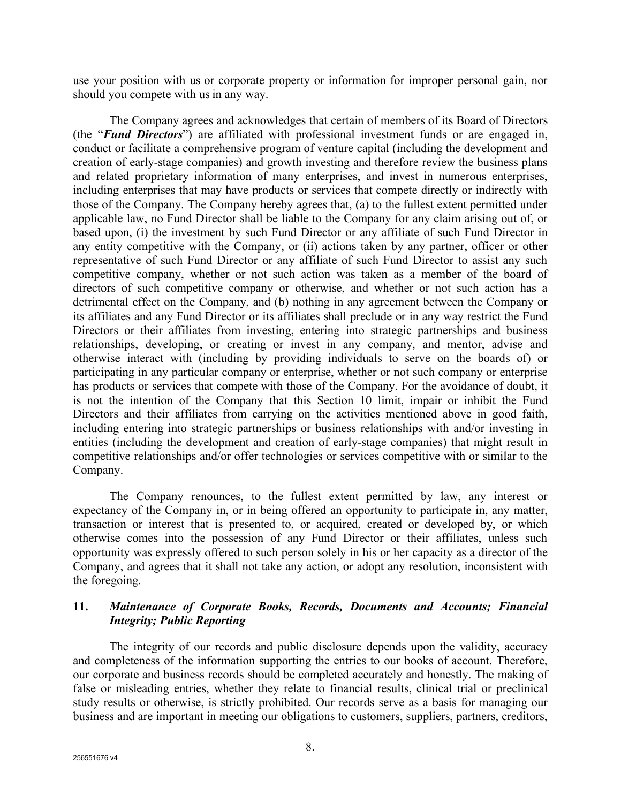use your position with us or corporate property or information for improper personal gain, nor should you compete with us in any way.

The Company agrees and acknowledges that certain of members of its Board of Directors (the "*Fund Directors*") are affiliated with professional investment funds or are engaged in, conduct or facilitate a comprehensive program of venture capital (including the development and creation of early-stage companies) and growth investing and therefore review the business plans and related proprietary information of many enterprises, and invest in numerous enterprises, including enterprises that may have products or services that compete directly or indirectly with those of the Company. The Company hereby agrees that, (a) to the fullest extent permitted under applicable law, no Fund Director shall be liable to the Company for any claim arising out of, or based upon, (i) the investment by such Fund Director or any affiliate of such Fund Director in any entity competitive with the Company, or (ii) actions taken by any partner, officer or other representative of such Fund Director or any affiliate of such Fund Director to assist any such competitive company, whether or not such action was taken as a member of the board of directors of such competitive company or otherwise, and whether or not such action has a detrimental effect on the Company, and (b) nothing in any agreement between the Company or its affiliates and any Fund Director or its affiliates shall preclude or in any way restrict the Fund Directors or their affiliates from investing, entering into strategic partnerships and business relationships, developing, or creating or invest in any company, and mentor, advise and otherwise interact with (including by providing individuals to serve on the boards of) or participating in any particular company or enterprise, whether or not such company or enterprise has products or services that compete with those of the Company. For the avoidance of doubt, it is not the intention of the Company that this Section 10 limit, impair or inhibit the Fund Directors and their affiliates from carrying on the activities mentioned above in good faith, including entering into strategic partnerships or business relationships with and/or investing in entities (including the development and creation of early-stage companies) that might result in competitive relationships and/or offer technologies or services competitive with or similar to the Company.

The Company renounces, to the fullest extent permitted by law, any interest or expectancy of the Company in, or in being offered an opportunity to participate in, any matter, transaction or interest that is presented to, or acquired, created or developed by, or which otherwise comes into the possession of any Fund Director or their affiliates, unless such opportunity was expressly offered to such person solely in his or her capacity as a director of the Company, and agrees that it shall not take any action, or adopt any resolution, inconsistent with the foregoing.

# **11.** *Maintenance of Corporate Books, Records, Documents and Accounts; Financial Integrity; Public Reporting*

The integrity of our records and public disclosure depends upon the validity, accuracy and completeness of the information supporting the entries to our books of account. Therefore, our corporate and business records should be completed accurately and honestly. The making of false or misleading entries, whether they relate to financial results, clinical trial or preclinical study results or otherwise, is strictly prohibited. Our records serve as a basis for managing our business and are important in meeting our obligations to customers, suppliers, partners, creditors,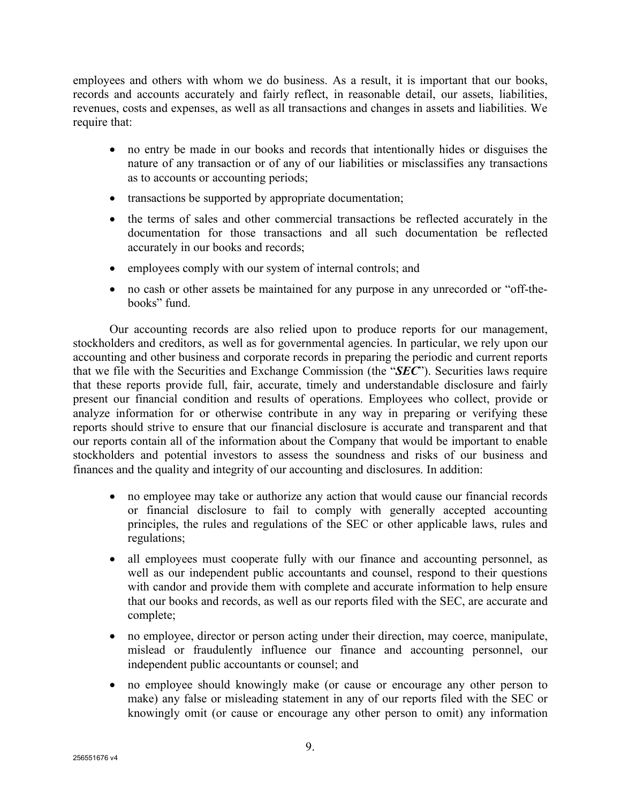employees and others with whom we do business. As a result, it is important that our books, records and accounts accurately and fairly reflect, in reasonable detail, our assets, liabilities, revenues, costs and expenses, as well as all transactions and changes in assets and liabilities. We require that:

- no entry be made in our books and records that intentionally hides or disguises the nature of any transaction or of any of our liabilities or misclassifies any transactions as to accounts or accounting periods;
- transactions be supported by appropriate documentation;
- the terms of sales and other commercial transactions be reflected accurately in the documentation for those transactions and all such documentation be reflected accurately in our books and records;
- employees comply with our system of internal controls; and
- no cash or other assets be maintained for any purpose in any unrecorded or "off-thebooks" fund.

Our accounting records are also relied upon to produce reports for our management, stockholders and creditors, as well as for governmental agencies. In particular, we rely upon our accounting and other business and corporate records in preparing the periodic and current reports that we file with the Securities and Exchange Commission (the "*SEC*"). Securities laws require that these reports provide full, fair, accurate, timely and understandable disclosure and fairly present our financial condition and results of operations. Employees who collect, provide or analyze information for or otherwise contribute in any way in preparing or verifying these reports should strive to ensure that our financial disclosure is accurate and transparent and that our reports contain all of the information about the Company that would be important to enable stockholders and potential investors to assess the soundness and risks of our business and finances and the quality and integrity of our accounting and disclosures. In addition:

- no employee may take or authorize any action that would cause our financial records or financial disclosure to fail to comply with generally accepted accounting principles, the rules and regulations of the SEC or other applicable laws, rules and regulations;
- all employees must cooperate fully with our finance and accounting personnel, as well as our independent public accountants and counsel, respond to their questions with candor and provide them with complete and accurate information to help ensure that our books and records, as well as our reports filed with the SEC, are accurate and complete;
- no employee, director or person acting under their direction, may coerce, manipulate, mislead or fraudulently influence our finance and accounting personnel, our independent public accountants or counsel; and
- no employee should knowingly make (or cause or encourage any other person to make) any false or misleading statement in any of our reports filed with the SEC or knowingly omit (or cause or encourage any other person to omit) any information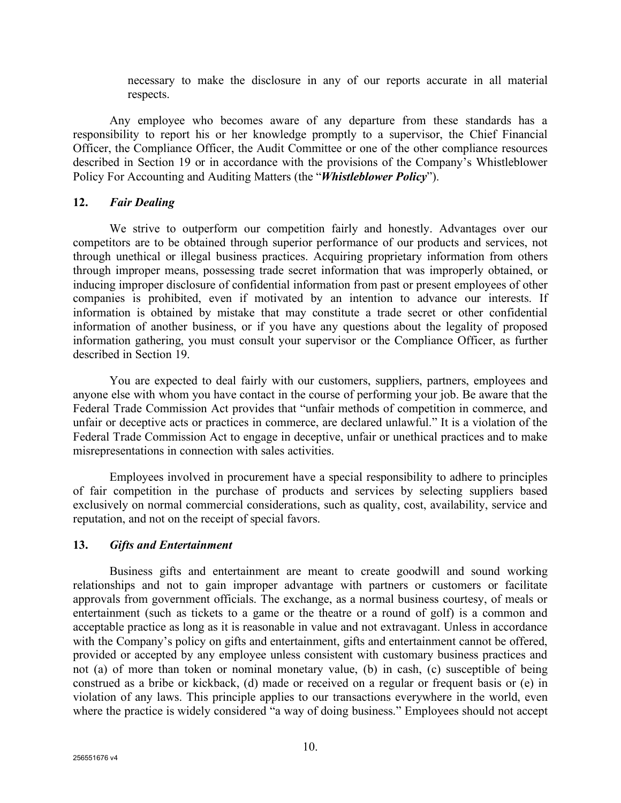necessary to make the disclosure in any of our reports accurate in all material respects.

Any employee who becomes aware of any departure from these standards has a responsibility to report his or her knowledge promptly to a supervisor, the Chief Financial Officer, the Compliance Officer, the Audit Committee or one of the other compliance resources described in Section 19 or in accordance with the provisions of the Company's Whistleblower Policy For Accounting and Auditing Matters (the "*Whistleblower Policy*").

### **12.** *Fair Dealing*

We strive to outperform our competition fairly and honestly. Advantages over our competitors are to be obtained through superior performance of our products and services, not through unethical or illegal business practices. Acquiring proprietary information from others through improper means, possessing trade secret information that was improperly obtained, or inducing improper disclosure of confidential information from past or present employees of other companies is prohibited, even if motivated by an intention to advance our interests. If information is obtained by mistake that may constitute a trade secret or other confidential information of another business, or if you have any questions about the legality of proposed information gathering, you must consult your supervisor or the Compliance Officer, as further described in Section 19.

You are expected to deal fairly with our customers, suppliers, partners, employees and anyone else with whom you have contact in the course of performing your job. Be aware that the Federal Trade Commission Act provides that "unfair methods of competition in commerce, and unfair or deceptive acts or practices in commerce, are declared unlawful." It is a violation of the Federal Trade Commission Act to engage in deceptive, unfair or unethical practices and to make misrepresentations in connection with sales activities.

Employees involved in procurement have a special responsibility to adhere to principles of fair competition in the purchase of products and services by selecting suppliers based exclusively on normal commercial considerations, such as quality, cost, availability, service and reputation, and not on the receipt of special favors.

### **13.** *Gifts and Entertainment*

Business gifts and entertainment are meant to create goodwill and sound working relationships and not to gain improper advantage with partners or customers or facilitate approvals from government officials. The exchange, as a normal business courtesy, of meals or entertainment (such as tickets to a game or the theatre or a round of golf) is a common and acceptable practice as long as it is reasonable in value and not extravagant. Unless in accordance with the Company's policy on gifts and entertainment, gifts and entertainment cannot be offered, provided or accepted by any employee unless consistent with customary business practices and not (a) of more than token or nominal monetary value, (b) in cash, (c) susceptible of being construed as a bribe or kickback, (d) made or received on a regular or frequent basis or (e) in violation of any laws. This principle applies to our transactions everywhere in the world, even where the practice is widely considered "a way of doing business." Employees should not accept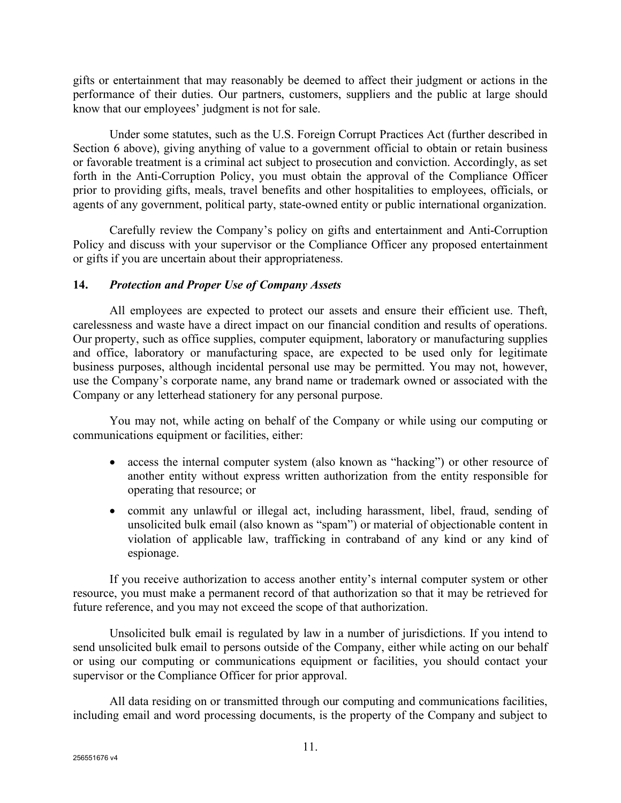gifts or entertainment that may reasonably be deemed to affect their judgment or actions in the performance of their duties. Our partners, customers, suppliers and the public at large should know that our employees' judgment is not for sale.

Under some statutes, such as the U.S. Foreign Corrupt Practices Act (further described in Section 6 above), giving anything of value to a government official to obtain or retain business or favorable treatment is a criminal act subject to prosecution and conviction. Accordingly, as set forth in the Anti-Corruption Policy, you must obtain the approval of the Compliance Officer prior to providing gifts, meals, travel benefits and other hospitalities to employees, officials, or agents of any government, political party, state-owned entity or public international organization.

Carefully review the Company's policy on gifts and entertainment and Anti-Corruption Policy and discuss with your supervisor or the Compliance Officer any proposed entertainment or gifts if you are uncertain about their appropriateness.

# **14.** *Protection and Proper Use of Company Assets*

All employees are expected to protect our assets and ensure their efficient use. Theft, carelessness and waste have a direct impact on our financial condition and results of operations. Our property, such as office supplies, computer equipment, laboratory or manufacturing supplies and office, laboratory or manufacturing space, are expected to be used only for legitimate business purposes, although incidental personal use may be permitted. You may not, however, use the Company's corporate name, any brand name or trademark owned or associated with the Company or any letterhead stationery for any personal purpose.

You may not, while acting on behalf of the Company or while using our computing or communications equipment or facilities, either:

- access the internal computer system (also known as "hacking") or other resource of another entity without express written authorization from the entity responsible for operating that resource; or
- commit any unlawful or illegal act, including harassment, libel, fraud, sending of unsolicited bulk email (also known as "spam") or material of objectionable content in violation of applicable law, trafficking in contraband of any kind or any kind of espionage.

If you receive authorization to access another entity's internal computer system or other resource, you must make a permanent record of that authorization so that it may be retrieved for future reference, and you may not exceed the scope of that authorization.

Unsolicited bulk email is regulated by law in a number of jurisdictions. If you intend to send unsolicited bulk email to persons outside of the Company, either while acting on our behalf or using our computing or communications equipment or facilities, you should contact your supervisor or the Compliance Officer for prior approval.

All data residing on or transmitted through our computing and communications facilities, including email and word processing documents, is the property of the Company and subject to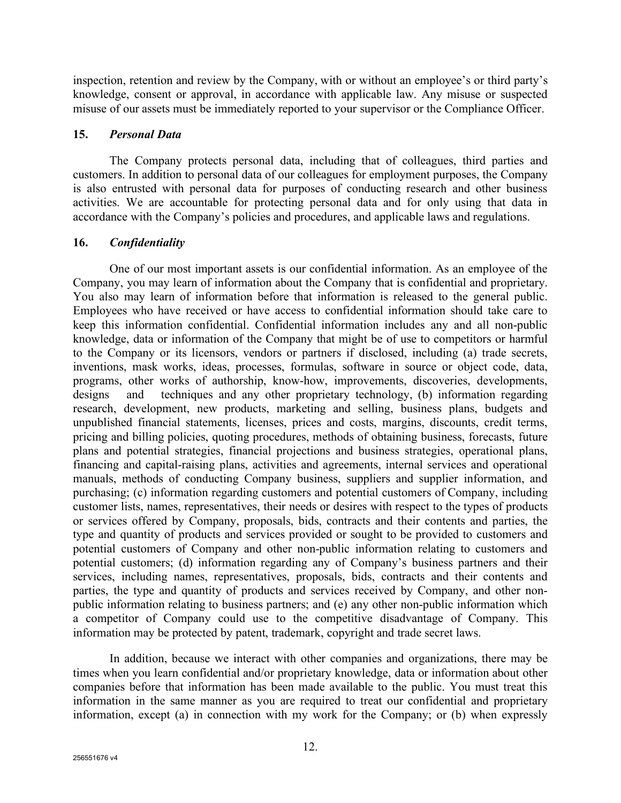inspection, retention and review by the Company, with or without an employee's or third party's knowledge, consent or approval, in accordance with applicable law. Any misuse or suspected misuse of our assets must be immediately reported to your supervisor or the Compliance Officer.

### **15.** *Personal Data*

The Company protects personal data, including that of colleagues, third parties and customers. In addition to personal data of our colleagues for employment purposes, the Company is also entrusted with personal data for purposes of conducting research and other business activities. We are accountable for protecting personal data and for only using that data in accordance with the Company's policies and procedures, and applicable laws and regulations.

### **16.** *Confidentiality*

One of our most important assets is our confidential information. As an employee of the Company, you may learn of information about the Company that is confidential and proprietary. You also may learn of information before that information is released to the general public. Employees who have received or have access to confidential information should take care to keep this information confidential. Confidential information includes any and all non-public knowledge, data or information of the Company that might be of use to competitors or harmful to the Company or its licensors, vendors or partners if disclosed, including (a) trade secrets, inventions, mask works, ideas, processes, formulas, software in source or object code, data, programs, other works of authorship, know-how, improvements, discoveries, developments, designs and techniques and any other proprietary technology, (b) information regarding research, development, new products, marketing and selling, business plans, budgets and unpublished financial statements, licenses, prices and costs, margins, discounts, credit terms, pricing and billing policies, quoting procedures, methods of obtaining business, forecasts, future plans and potential strategies, financial projections and business strategies, operational plans, financing and capital-raising plans, activities and agreements, internal services and operational manuals, methods of conducting Company business, suppliers and supplier information, and purchasing; (c) information regarding customers and potential customers of Company, including customer lists, names, representatives, their needs or desires with respect to the types of products or services offered by Company, proposals, bids, contracts and their contents and parties, the type and quantity of products and services provided or sought to be provided to customers and potential customers of Company and other non-public information relating to customers and potential customers; (d) information regarding any of Company's business partners and their services, including names, representatives, proposals, bids, contracts and their contents and parties, the type and quantity of products and services received by Company, and other nonpublic information relating to business partners; and (e) any other non-public information which a competitor of Company could use to the competitive disadvantage of Company. This information may be protected by patent, trademark, copyright and trade secret laws.

In addition, because we interact with other companies and organizations, there may be times when you learn confidential and/or proprietary knowledge, data or information about other companies before that information has been made available to the public. You must treat this information in the same manner as you are required to treat our confidential and proprietary information, except (a) in connection with my work for the Company; or (b) when expressly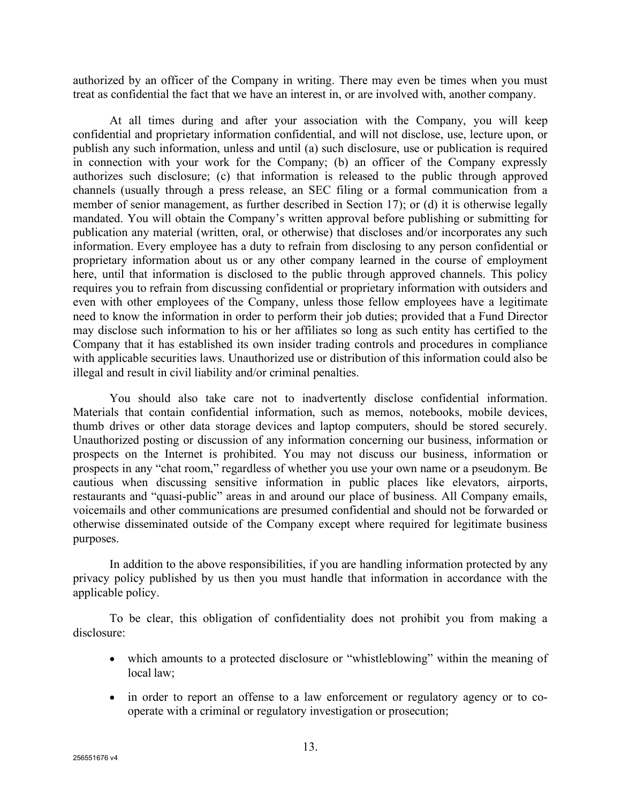authorized by an officer of the Company in writing. There may even be times when you must treat as confidential the fact that we have an interest in, or are involved with, another company.

At all times during and after your association with the Company, you will keep confidential and proprietary information confidential, and will not disclose, use, lecture upon, or publish any such information, unless and until (a) such disclosure, use or publication is required in connection with your work for the Company; (b) an officer of the Company expressly authorizes such disclosure; (c) that information is released to the public through approved channels (usually through a press release, an SEC filing or a formal communication from a member of senior management, as further described in Section 17); or (d) it is otherwise legally mandated. You will obtain the Company's written approval before publishing or submitting for publication any material (written, oral, or otherwise) that discloses and/or incorporates any such information. Every employee has a duty to refrain from disclosing to any person confidential or proprietary information about us or any other company learned in the course of employment here, until that information is disclosed to the public through approved channels. This policy requires you to refrain from discussing confidential or proprietary information with outsiders and even with other employees of the Company, unless those fellow employees have a legitimate need to know the information in order to perform their job duties; provided that a Fund Director may disclose such information to his or her affiliates so long as such entity has certified to the Company that it has established its own insider trading controls and procedures in compliance with applicable securities laws. Unauthorized use or distribution of this information could also be illegal and result in civil liability and/or criminal penalties.

You should also take care not to inadvertently disclose confidential information. Materials that contain confidential information, such as memos, notebooks, mobile devices, thumb drives or other data storage devices and laptop computers, should be stored securely. Unauthorized posting or discussion of any information concerning our business, information or prospects on the Internet is prohibited. You may not discuss our business, information or prospects in any "chat room," regardless of whether you use your own name or a pseudonym. Be cautious when discussing sensitive information in public places like elevators, airports, restaurants and "quasi-public" areas in and around our place of business. All Company emails, voicemails and other communications are presumed confidential and should not be forwarded or otherwise disseminated outside of the Company except where required for legitimate business purposes.

In addition to the above responsibilities, if you are handling information protected by any privacy policy published by us then you must handle that information in accordance with the applicable policy.

To be clear, this obligation of confidentiality does not prohibit you from making a disclosure:

- which amounts to a protected disclosure or "whistleblowing" within the meaning of local law;
- in order to report an offense to a law enforcement or regulatory agency or to cooperate with a criminal or regulatory investigation or prosecution;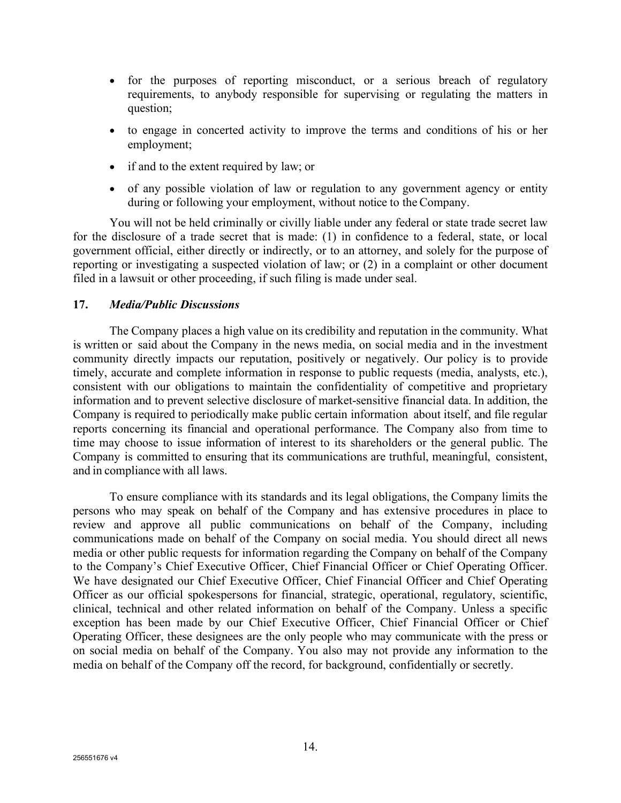- for the purposes of reporting misconduct, or a serious breach of regulatory requirements, to anybody responsible for supervising or regulating the matters in question;
- to engage in concerted activity to improve the terms and conditions of his or her employment;
- if and to the extent required by law; or
- of any possible violation of law or regulation to any government agency or entity during or following your employment, without notice to the Company.

You will not be held criminally or civilly liable under any federal or state trade secret law for the disclosure of a trade secret that is made: (1) in confidence to a federal, state, or local government official, either directly or indirectly, or to an attorney, and solely for the purpose of reporting or investigating a suspected violation of law; or (2) in a complaint or other document filed in a lawsuit or other proceeding, if such filing is made under seal.

### **17.** *Media/Public Discussions*

The Company places a high value on its credibility and reputation in the community. What is written or said about the Company in the news media, on social media and in the investment community directly impacts our reputation, positively or negatively. Our policy is to provide timely, accurate and complete information in response to public requests (media, analysts, etc.), consistent with our obligations to maintain the confidentiality of competitive and proprietary information and to prevent selective disclosure of market-sensitive financial data. In addition, the Company is required to periodically make public certain information about itself, and file regular reports concerning its financial and operational performance. The Company also from time to time may choose to issue information of interest to its shareholders or the general public. The Company is committed to ensuring that its communications are truthful, meaningful, consistent, and in compliance with all laws.

To ensure compliance with its standards and its legal obligations, the Company limits the persons who may speak on behalf of the Company and has extensive procedures in place to review and approve all public communications on behalf of the Company, including communications made on behalf of the Company on social media. You should direct all news media or other public requests for information regarding the Company on behalf of the Company to the Company's Chief Executive Officer, Chief Financial Officer or Chief Operating Officer. We have designated our Chief Executive Officer, Chief Financial Officer and Chief Operating Officer as our official spokespersons for financial, strategic, operational, regulatory, scientific, clinical, technical and other related information on behalf of the Company. Unless a specific exception has been made by our Chief Executive Officer, Chief Financial Officer or Chief Operating Officer, these designees are the only people who may communicate with the press or on social media on behalf of the Company. You also may not provide any information to the media on behalf of the Company off the record, for background, confidentially or secretly.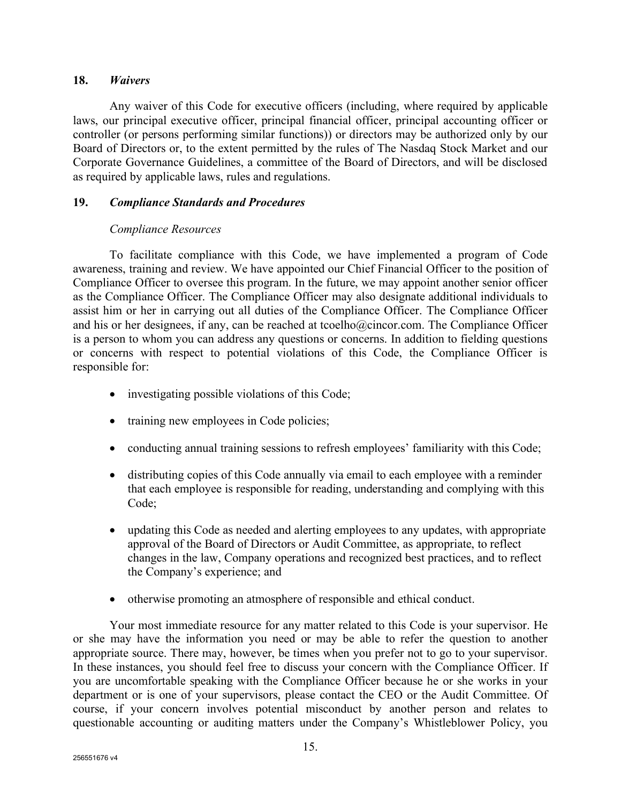### **18.** *Waivers*

Any waiver of this Code for executive officers (including, where required by applicable laws, our principal executive officer, principal financial officer, principal accounting officer or controller (or persons performing similar functions)) or directors may be authorized only by our Board of Directors or, to the extent permitted by the rules of The Nasdaq Stock Market and our Corporate Governance Guidelines, a committee of the Board of Directors, and will be disclosed as required by applicable laws, rules and regulations.

## **19.** *Compliance Standards and Procedures*

# *Compliance Resources*

To facilitate compliance with this Code, we have implemented a program of Code awareness, training and review. We have appointed our Chief Financial Officer to the position of Compliance Officer to oversee this program. In the future, we may appoint another senior officer as the Compliance Officer. The Compliance Officer may also designate additional individuals to assist him or her in carrying out all duties of the Compliance Officer. The Compliance Officer and his or her designees, if any, can be reached at tcoelho@cincor.com. The Compliance Officer is a person to whom you can address any questions or concerns. In addition to fielding questions or concerns with respect to potential violations of this Code, the Compliance Officer is responsible for:

- investigating possible violations of this Code;
- training new employees in Code policies;
- conducting annual training sessions to refresh employees' familiarity with this Code;
- distributing copies of this Code annually via email to each employee with a reminder that each employee is responsible for reading, understanding and complying with this Code;
- updating this Code as needed and alerting employees to any updates, with appropriate approval of the Board of Directors or Audit Committee, as appropriate, to reflect changes in the law, Company operations and recognized best practices, and to reflect the Company's experience; and
- otherwise promoting an atmosphere of responsible and ethical conduct.

Your most immediate resource for any matter related to this Code is your supervisor. He or she may have the information you need or may be able to refer the question to another appropriate source. There may, however, be times when you prefer not to go to your supervisor. In these instances, you should feel free to discuss your concern with the Compliance Officer. If you are uncomfortable speaking with the Compliance Officer because he or she works in your department or is one of your supervisors, please contact the CEO or the Audit Committee. Of course, if your concern involves potential misconduct by another person and relates to questionable accounting or auditing matters under the Company's Whistleblower Policy, you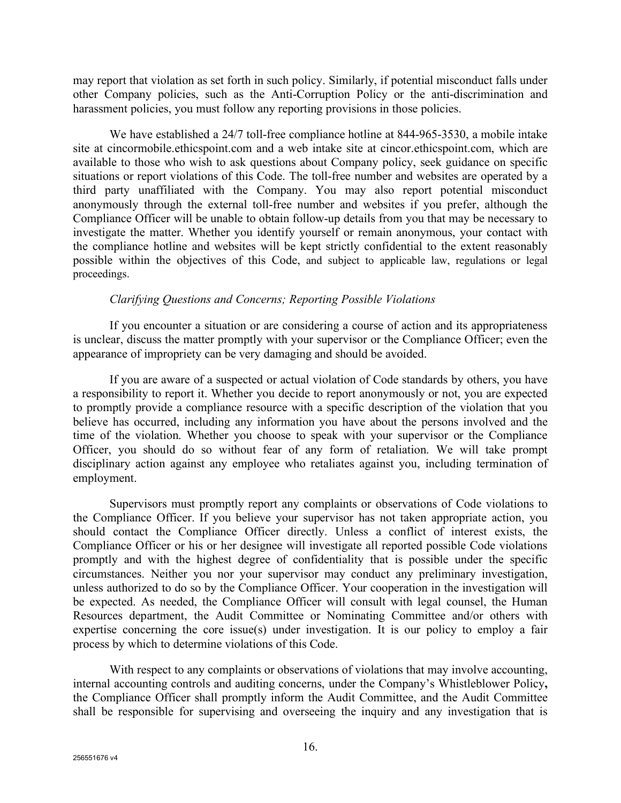may report that violation as set forth in such policy. Similarly, if potential misconduct falls under other Company policies, such as the Anti-Corruption Policy or the anti-discrimination and harassment policies, you must follow any reporting provisions in those policies.

We have established a 24/7 toll-free compliance hotline at 844-965-3530, a mobile intake site at cincormobile.ethicspoint.com and a web intake site at cincor.ethicspoint.com, which are available to those who wish to ask questions about Company policy, seek guidance on specific situations or report violations of this Code. The toll-free number and websites are operated by a third party unaffiliated with the Company. You may also report potential misconduct anonymously through the external toll-free number and websites if you prefer, although the Compliance Officer will be unable to obtain follow-up details from you that may be necessary to investigate the matter. Whether you identify yourself or remain anonymous, your contact with the compliance hotline and websites will be kept strictly confidential to the extent reasonably possible within the objectives of this Code, and subject to applicable law, regulations or legal proceedings.

### *Clarifying Questions and Concerns; Reporting Possible Violations*

If you encounter a situation or are considering a course of action and its appropriateness is unclear, discuss the matter promptly with your supervisor or the Compliance Officer; even the appearance of impropriety can be very damaging and should be avoided.

If you are aware of a suspected or actual violation of Code standards by others, you have a responsibility to report it. Whether you decide to report anonymously or not, you are expected to promptly provide a compliance resource with a specific description of the violation that you believe has occurred, including any information you have about the persons involved and the time of the violation. Whether you choose to speak with your supervisor or the Compliance Officer, you should do so without fear of any form of retaliation. We will take prompt disciplinary action against any employee who retaliates against you, including termination of employment.

Supervisors must promptly report any complaints or observations of Code violations to the Compliance Officer. If you believe your supervisor has not taken appropriate action, you should contact the Compliance Officer directly. Unless a conflict of interest exists, the Compliance Officer or his or her designee will investigate all reported possible Code violations promptly and with the highest degree of confidentiality that is possible under the specific circumstances. Neither you nor your supervisor may conduct any preliminary investigation, unless authorized to do so by the Compliance Officer. Your cooperation in the investigation will be expected. As needed, the Compliance Officer will consult with legal counsel, the Human Resources department, the Audit Committee or Nominating Committee and/or others with expertise concerning the core issue(s) under investigation. It is our policy to employ a fair process by which to determine violations of this Code.

With respect to any complaints or observations of violations that may involve accounting, internal accounting controls and auditing concerns, under the Company's Whistleblower Policy**,**  the Compliance Officer shall promptly inform the Audit Committee, and the Audit Committee shall be responsible for supervising and overseeing the inquiry and any investigation that is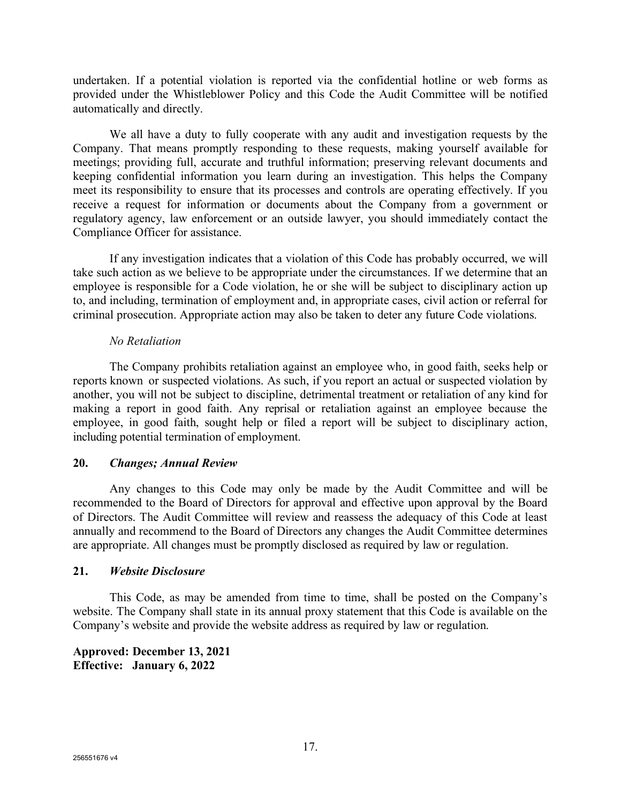undertaken. If a potential violation is reported via the confidential hotline or web forms as provided under the Whistleblower Policy and this Code the Audit Committee will be notified automatically and directly.

We all have a duty to fully cooperate with any audit and investigation requests by the Company. That means promptly responding to these requests, making yourself available for meetings; providing full, accurate and truthful information; preserving relevant documents and keeping confidential information you learn during an investigation. This helps the Company meet its responsibility to ensure that its processes and controls are operating effectively. If you receive a request for information or documents about the Company from a government or regulatory agency, law enforcement or an outside lawyer, you should immediately contact the Compliance Officer for assistance.

If any investigation indicates that a violation of this Code has probably occurred, we will take such action as we believe to be appropriate under the circumstances. If we determine that an employee is responsible for a Code violation, he or she will be subject to disciplinary action up to, and including, termination of employment and, in appropriate cases, civil action or referral for criminal prosecution. Appropriate action may also be taken to deter any future Code violations.

### *No Retaliation*

The Company prohibits retaliation against an employee who, in good faith, seeks help or reports known or suspected violations. As such, if you report an actual or suspected violation by another, you will not be subject to discipline, detrimental treatment or retaliation of any kind for making a report in good faith. Any reprisal or retaliation against an employee because the employee, in good faith, sought help or filed a report will be subject to disciplinary action, including potential termination of employment.

### **20.** *Changes; Annual Review*

Any changes to this Code may only be made by the Audit Committee and will be recommended to the Board of Directors for approval and effective upon approval by the Board of Directors. The Audit Committee will review and reassess the adequacy of this Code at least annually and recommend to the Board of Directors any changes the Audit Committee determines are appropriate. All changes must be promptly disclosed as required by law or regulation.

### **21.** *Website Disclosure*

This Code, as may be amended from time to time, shall be posted on the Company's website. The Company shall state in its annual proxy statement that this Code is available on the Company's website and provide the website address as required by law or regulation.

### **Approved: December 13, 2021 Effective: January 6, 2022**